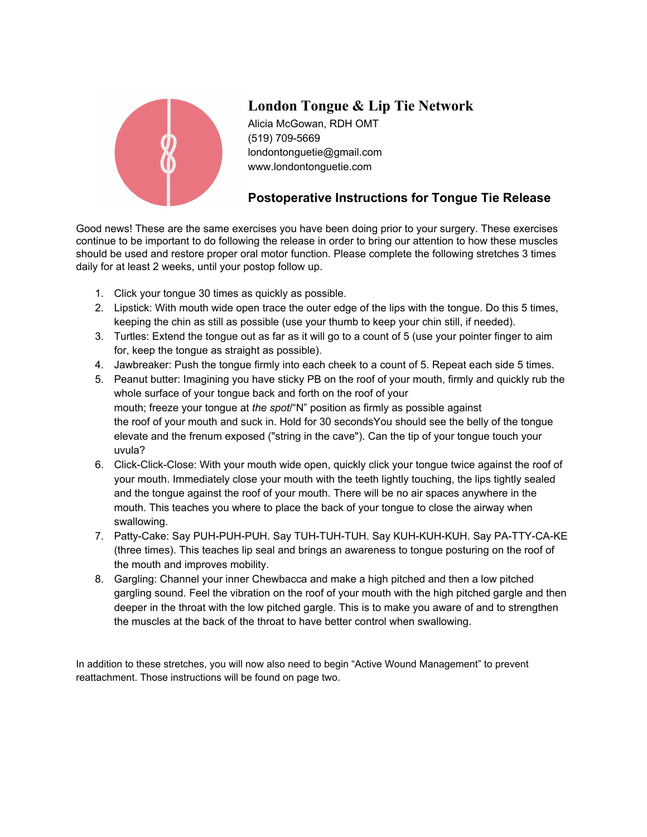

# **London Tongue & Lip Tie Network**

Alicia McGowan, RDH OMT (519) 709-5669 londontonguetie@gmail.com www.londontonguetie.com

## **Postoperative Instructions for Tongue Tie Release**

Good news! These are the same exercises you have been doing prior to your surgery. These exercises continue to be important to do following the release in order to bring our attention to how these muscles should be used and restore proper oral motor function. Please complete the following stretches 3 times daily for at least 2 weeks, until your postop follow up.

- 1. Click your tongue 30 times as quickly as possible.
- 2. Lipstick: With mouth wide open trace the outer edge of the lips with the tongue. Do this 5 times, keeping the chin as still as possible (use your thumb to keep your chin still, if needed).
- 3. Turtles: Extend the tongue out as far as it will go to a count of 5 (use your pointer finger to aim for, keep the tongue as straight as possible).
- 4. Jawbreaker: Push the tongue firmly into each cheek to a count of 5. Repeat each side 5 times.
- 5. Peanut butter: Imagining you have sticky PB on the roof of your mouth, firmly and quickly rub the whole surface of your tongue back and forth on the roof of your mouth; freeze your tongue at *the spot*/"N" position as firmly as possible against the roof of your mouth and suck in. Hold for 30 secondsYou should see the belly of the tongue elevate and the frenum exposed ("string in the cave"). Can the tip of your tongue touch your uvula?
- 6. Click-Click-Close: With your mouth wide open, quickly click your tongue twice against the roof of your mouth. Immediately close your mouth with the teeth lightly touching, the lips tightly sealed and the tongue against the roof of your mouth. There will be no air spaces anywhere in the mouth. This teaches you where to place the back of your tongue to close the airway when swallowing.
- 7. Patty-Cake: Say PUH-PUH-PUH. Say TUH-TUH-TUH. Say KUH-KUH-KUH. Say PA-TTY-CA-KE (three times). This teaches lip seal and brings an awareness to tongue posturing on the roof of the mouth and improves mobility.
- 8. Gargling: Channel your inner Chewbacca and make a high pitched and then a low pitched gargling sound. Feel the vibration on the roof of your mouth with the high pitched gargle and then deeper in the throat with the low pitched gargle. This is to make you aware of and to strengthen the muscles at the back of the throat to have better control when swallowing.

In addition to these stretches, you will now also need to begin "Active Wound Management" to prevent reattachment. Those instructions will be found on page two.